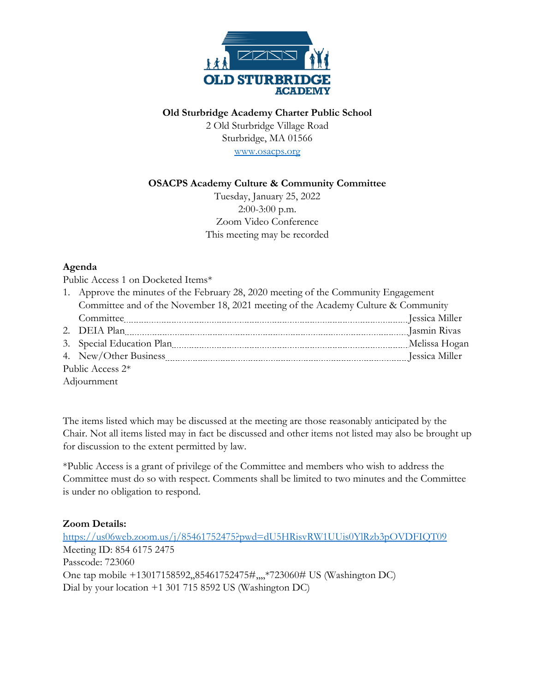

**Old Sturbridge Academy Charter Public School**

2 Old Sturbridge Village Road Sturbridge, MA 01566 [www.osacps.org](file://///samson/langdon$/Jim%20Donahue/Charter%20School/Academic%20Excellence%20Committee/2020-11-10%20Meeting%20Materials/www.osacps.org)

## **OSACPS Academy Culture & Community Committee**

Tuesday, January 25, 2022 2:00-3:00 p.m. Zoom Video Conference This meeting may be recorded

## **Agenda**

Public Access 1 on Docketed Items\*

|                  | 1. Approve the minutes of the February 28, 2020 meeting of the Community Engagement |  |
|------------------|-------------------------------------------------------------------------------------|--|
|                  | Committee and of the November 18, 2021 meeting of the Academy Culture & Community   |  |
|                  |                                                                                     |  |
|                  | 2. DEIA Plan members and an anti-                                                   |  |
|                  |                                                                                     |  |
|                  |                                                                                     |  |
| Public Access 2* |                                                                                     |  |
| Adjournment      |                                                                                     |  |

The items listed which may be discussed at the meeting are those reasonably anticipated by the Chair. Not all items listed may in fact be discussed and other items not listed may also be brought up for discussion to the extent permitted by law.

\*Public Access is a grant of privilege of the Committee and members who wish to address the Committee must do so with respect. Comments shall be limited to two minutes and the Committee is under no obligation to respond.

## **Zoom Details:**

<https://us06web.zoom.us/j/85461752475?pwd=dU5HRisvRW1UUis0YlRzb3pOVDFIQT09> Meeting ID: 854 6175 2475 Passcode: 723060 One tap mobile +13017158592,,85461752475#,,,,\*723060# US (Washington DC) Dial by your location +1 301 715 8592 US (Washington DC)